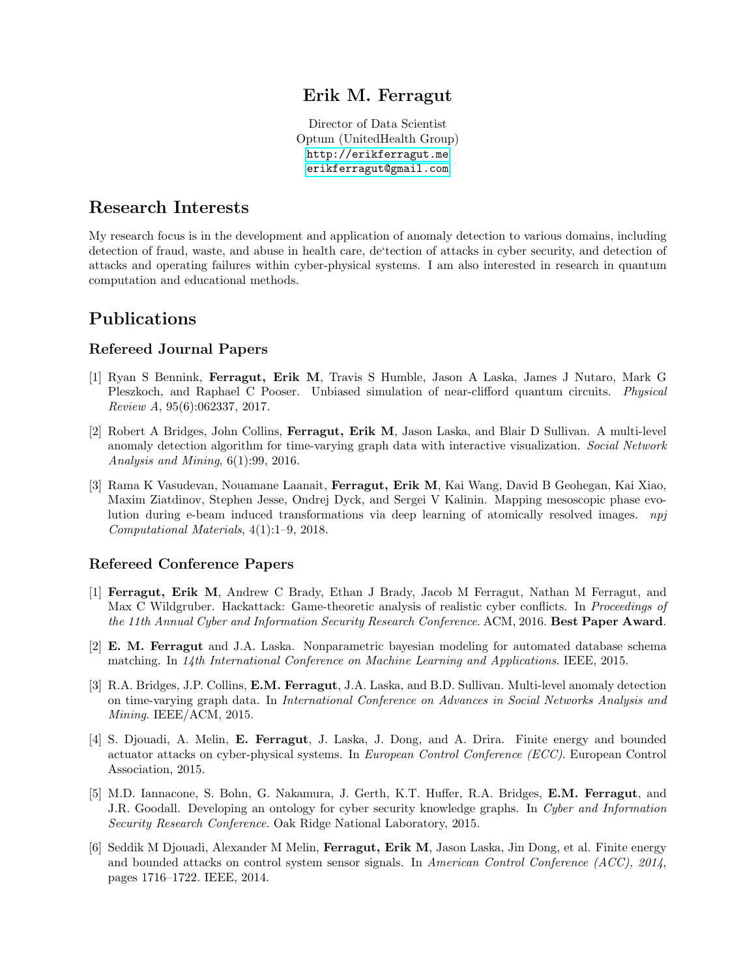### Erik M. Ferragut

Director of Data Scientist Optum (UnitedHealth Group) <http://erikferragut.me> [erikferragut@gmail.com](mailto:erikferragut@gmail.com)

### Research Interests

My research focus is in the development and application of anomaly detection to various domains, including detection of fraud, waste, and abuse in health care, de'tection of attacks in cyber security, and detection of attacks and operating failures within cyber-physical systems. I am also interested in research in quantum computation and educational methods.

### Publications

#### Refereed Journal Papers

- [1] Ryan S Bennink, Ferragut, Erik M, Travis S Humble, Jason A Laska, James J Nutaro, Mark G Pleszkoch, and Raphael C Pooser. Unbiased simulation of near-clifford quantum circuits. Physical Review A, 95(6):062337, 2017.
- [2] Robert A Bridges, John Collins, Ferragut, Erik M, Jason Laska, and Blair D Sullivan. A multi-level anomaly detection algorithm for time-varying graph data with interactive visualization. Social Network Analysis and Mining, 6(1):99, 2016.
- [3] Rama K Vasudevan, Nouamane Laanait, Ferragut, Erik M, Kai Wang, David B Geohegan, Kai Xiao, Maxim Ziatdinov, Stephen Jesse, Ondrej Dyck, and Sergei V Kalinin. Mapping mesoscopic phase evolution during e-beam induced transformations via deep learning of atomically resolved images. npj Computational Materials, 4(1):1–9, 2018.

#### Refereed Conference Papers

- [1] Ferragut, Erik M, Andrew C Brady, Ethan J Brady, Jacob M Ferragut, Nathan M Ferragut, and Max C Wildgruber. Hackattack: Game-theoretic analysis of realistic cyber conflicts. In Proceedings of the 11th Annual Cyber and Information Security Research Conference. ACM, 2016. Best Paper Award.
- [2] E. M. Ferragut and J.A. Laska. Nonparametric bayesian modeling for automated database schema matching. In 14th International Conference on Machine Learning and Applications. IEEE, 2015.
- [3] R.A. Bridges, J.P. Collins, E.M. Ferragut, J.A. Laska, and B.D. Sullivan. Multi-level anomaly detection on time-varying graph data. In International Conference on Advances in Social Networks Analysis and Mining. IEEE/ACM, 2015.
- [4] S. Djouadi, A. Melin, E. Ferragut, J. Laska, J. Dong, and A. Drira. Finite energy and bounded actuator attacks on cyber-physical systems. In European Control Conference (ECC). European Control Association, 2015.
- [5] M.D. Iannacone, S. Bohn, G. Nakamura, J. Gerth, K.T. Huffer, R.A. Bridges, E.M. Ferragut, and J.R. Goodall. Developing an ontology for cyber security knowledge graphs. In Cyber and Information Security Research Conference. Oak Ridge National Laboratory, 2015.
- [6] Seddik M Djouadi, Alexander M Melin, Ferragut, Erik M, Jason Laska, Jin Dong, et al. Finite energy and bounded attacks on control system sensor signals. In American Control Conference (ACC), 2014, pages 1716–1722. IEEE, 2014.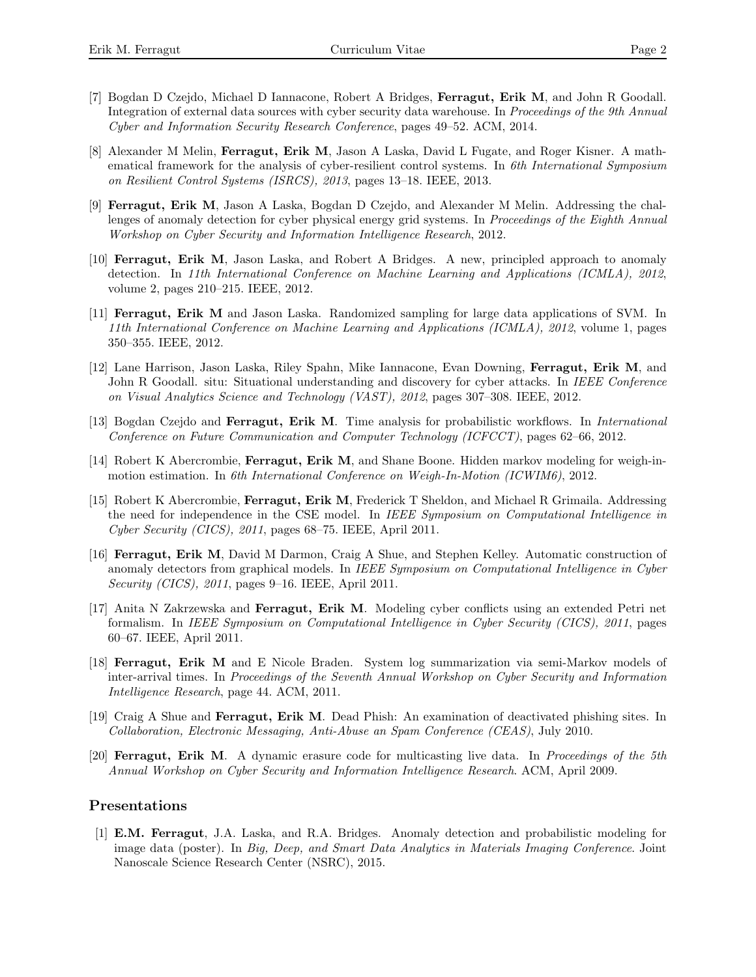- [7] Bogdan D Czejdo, Michael D Iannacone, Robert A Bridges, Ferragut, Erik M, and John R Goodall. Integration of external data sources with cyber security data warehouse. In Proceedings of the 9th Annual Cyber and Information Security Research Conference, pages 49–52. ACM, 2014.
- [8] Alexander M Melin, Ferragut, Erik M, Jason A Laska, David L Fugate, and Roger Kisner. A mathematical framework for the analysis of cyber-resilient control systems. In 6th International Symposium on Resilient Control Systems (ISRCS), 2013, pages 13–18. IEEE, 2013.
- [9] Ferragut, Erik M, Jason A Laska, Bogdan D Czejdo, and Alexander M Melin. Addressing the challenges of anomaly detection for cyber physical energy grid systems. In *Proceedings of the Eighth Annual* Workshop on Cyber Security and Information Intelligence Research, 2012.
- [10] Ferragut, Erik M, Jason Laska, and Robert A Bridges. A new, principled approach to anomaly detection. In 11th International Conference on Machine Learning and Applications (ICMLA), 2012, volume 2, pages 210–215. IEEE, 2012.
- [11] Ferragut, Erik M and Jason Laska. Randomized sampling for large data applications of SVM. In 11th International Conference on Machine Learning and Applications (ICMLA), 2012, volume 1, pages 350–355. IEEE, 2012.
- [12] Lane Harrison, Jason Laska, Riley Spahn, Mike Iannacone, Evan Downing, Ferragut, Erik M, and John R Goodall. situ: Situational understanding and discovery for cyber attacks. In IEEE Conference on Visual Analytics Science and Technology (VAST), 2012, pages 307–308. IEEE, 2012.
- [13] Bogdan Czejdo and Ferragut, Erik M. Time analysis for probabilistic workflows. In *International* Conference on Future Communication and Computer Technology (ICFCCT), pages 62–66, 2012.
- [14] Robert K Abercrombie, Ferragut, Erik M, and Shane Boone. Hidden markov modeling for weigh-inmotion estimation. In 6th International Conference on Weigh-In-Motion (ICWIM6), 2012.
- [15] Robert K Abercrombie, Ferragut, Erik M, Frederick T Sheldon, and Michael R Grimaila. Addressing the need for independence in the CSE model. In IEEE Symposium on Computational Intelligence in Cyber Security (CICS), 2011, pages 68–75. IEEE, April 2011.
- [16] Ferragut, Erik M, David M Darmon, Craig A Shue, and Stephen Kelley. Automatic construction of anomaly detectors from graphical models. In IEEE Symposium on Computational Intelligence in Cyber Security (CICS), 2011, pages 9–16. IEEE, April 2011.
- [17] Anita N Zakrzewska and Ferragut, Erik M. Modeling cyber conflicts using an extended Petri net formalism. In IEEE Symposium on Computational Intelligence in Cyber Security (CICS), 2011, pages 60–67. IEEE, April 2011.
- [18] Ferragut, Erik M and E Nicole Braden. System log summarization via semi-Markov models of inter-arrival times. In Proceedings of the Seventh Annual Workshop on Cyber Security and Information Intelligence Research, page 44. ACM, 2011.
- [19] Craig A Shue and Ferragut, Erik M. Dead Phish: An examination of deactivated phishing sites. In Collaboration, Electronic Messaging, Anti-Abuse an Spam Conference (CEAS), July 2010.
- [20] **Ferragut, Erik M.** A dynamic erasure code for multicasting live data. In *Proceedings of the 5th* Annual Workshop on Cyber Security and Information Intelligence Research. ACM, April 2009.

#### Presentations

[1] E.M. Ferragut, J.A. Laska, and R.A. Bridges. Anomaly detection and probabilistic modeling for image data (poster). In Big, Deep, and Smart Data Analytics in Materials Imaging Conference. Joint Nanoscale Science Research Center (NSRC), 2015.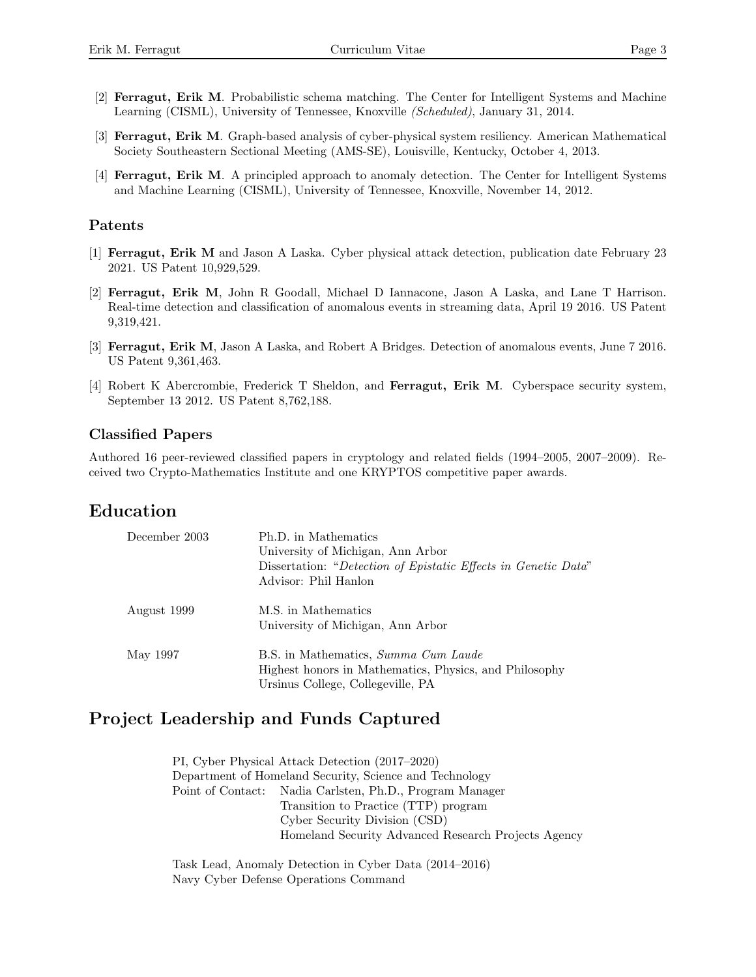- [2] Ferragut, Erik M. Probabilistic schema matching. The Center for Intelligent Systems and Machine Learning (CISML), University of Tennessee, Knoxville (Scheduled), January 31, 2014.
- [3] Ferragut, Erik M. Graph-based analysis of cyber-physical system resiliency. American Mathematical Society Southeastern Sectional Meeting (AMS-SE), Louisville, Kentucky, October 4, 2013.
- [4] Ferragut, Erik M. A principled approach to anomaly detection. The Center for Intelligent Systems and Machine Learning (CISML), University of Tennessee, Knoxville, November 14, 2012.

#### Patents

- [1] Ferragut, Erik M and Jason A Laska. Cyber physical attack detection, publication date February 23 2021. US Patent 10,929,529.
- [2] Ferragut, Erik M, John R Goodall, Michael D Iannacone, Jason A Laska, and Lane T Harrison. Real-time detection and classification of anomalous events in streaming data, April 19 2016. US Patent 9,319,421.
- [3] Ferragut, Erik M, Jason A Laska, and Robert A Bridges. Detection of anomalous events, June 7 2016. US Patent 9,361,463.
- [4] Robert K Abercrombie, Frederick T Sheldon, and Ferragut, Erik M. Cyberspace security system, September 13 2012. US Patent 8,762,188.

### Classified Papers

Authored 16 peer-reviewed classified papers in cryptology and related fields (1994–2005, 2007–2009). Received two Crypto-Mathematics Institute and one KRYPTOS competitive paper awards.

# Education

| December 2003 | Ph.D. in Mathematics<br>University of Michigan, Ann Arbor<br>Dissertation: "Detection of Epistatic Effects in Genetic Data"<br>Advisor: Phil Hanlon |
|---------------|-----------------------------------------------------------------------------------------------------------------------------------------------------|
| August 1999   | M.S. in Mathematics<br>University of Michigan, Ann Arbor                                                                                            |
| May 1997      | B.S. in Mathematics, Summa Cum Laude<br>Highest honors in Mathematics, Physics, and Philosophy<br>Ursinus College, Collegeville, PA                 |

# Project Leadership and Funds Captured

PI, Cyber Physical Attack Detection (2017–2020) Department of Homeland Security, Science and Technology Point of Contact: Nadia Carlsten, Ph.D., Program Manager Transition to Practice (TTP) program Cyber Security Division (CSD) Homeland Security Advanced Research Projects Agency

Task Lead, Anomaly Detection in Cyber Data (2014–2016) Navy Cyber Defense Operations Command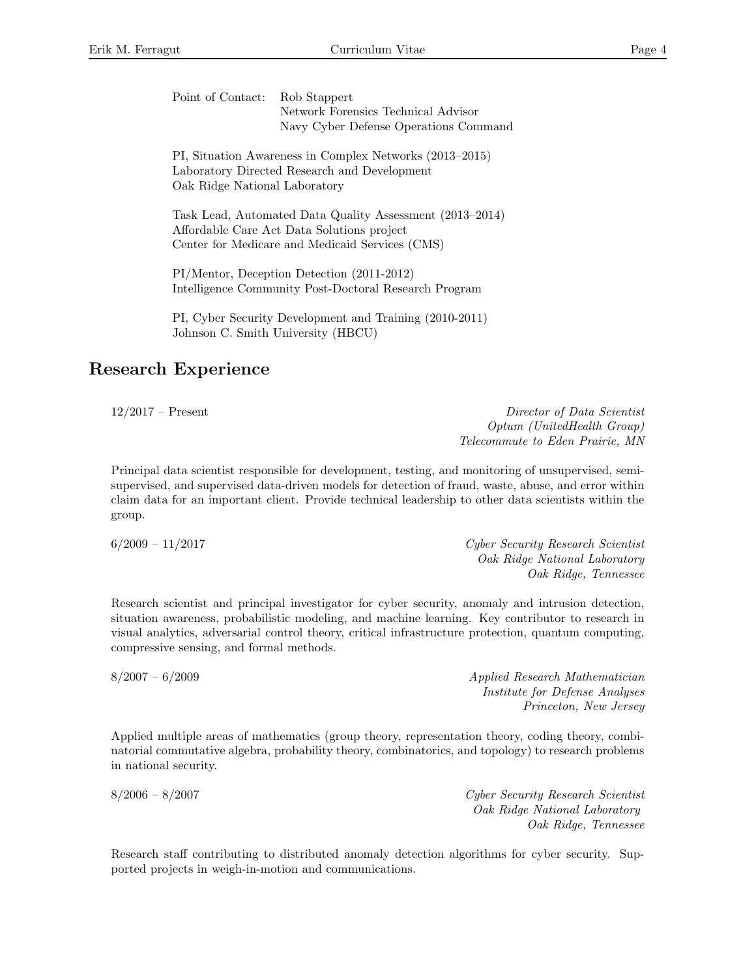| Point of Contact: Rob Stappert |                                       |
|--------------------------------|---------------------------------------|
|                                | Network Forensics Technical Advisor   |
|                                | Navy Cyber Defense Operations Command |

PI, Situation Awareness in Complex Networks (2013–2015) Laboratory Directed Research and Development Oak Ridge National Laboratory

Task Lead, Automated Data Quality Assessment (2013–2014) Affordable Care Act Data Solutions project Center for Medicare and Medicaid Services (CMS)

PI/Mentor, Deception Detection (2011-2012) Intelligence Community Post-Doctoral Research Program

PI, Cyber Security Development and Training (2010-2011) Johnson C. Smith University (HBCU)

## Research Experience

12/2017 – Present Director of Data Scientist Optum (UnitedHealth Group) Telecommute to Eden Prairie, MN

Principal data scientist responsible for development, testing, and monitoring of unsupervised, semisupervised, and supervised data-driven models for detection of fraud, waste, abuse, and error within claim data for an important client. Provide technical leadership to other data scientists within the group.

6/2009 – 11/2017 Cyber Security Research Scientist Oak Ridge National Laboratory Oak Ridge, Tennessee

Research scientist and principal investigator for cyber security, anomaly and intrusion detection, situation awareness, probabilistic modeling, and machine learning. Key contributor to research in visual analytics, adversarial control theory, critical infrastructure protection, quantum computing, compressive sensing, and formal methods.

8/2007 – 6/2009 Applied Research Mathematician Institute for Defense Analyses Princeton, New Jersey

Applied multiple areas of mathematics (group theory, representation theory, coding theory, combinatorial commutative algebra, probability theory, combinatorics, and topology) to research problems in national security.

8/2006 – 8/2007 Cyber Security Research Scientist Oak Ridge National Laboratory Oak Ridge, Tennessee

Research staff contributing to distributed anomaly detection algorithms for cyber security. Supported projects in weigh-in-motion and communications.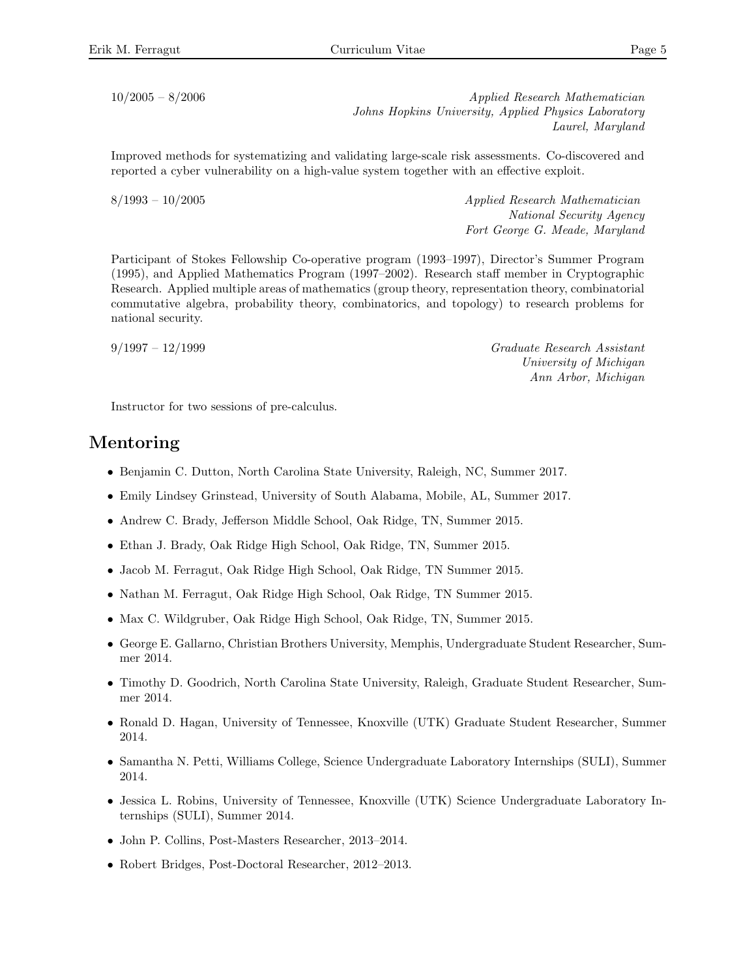10/2005 – 8/2006 Applied Research Mathematician Johns Hopkins University, Applied Physics Laboratory Laurel, Maryland

Improved methods for systematizing and validating large-scale risk assessments. Co-discovered and reported a cyber vulnerability on a high-value system together with an effective exploit.

 $8/1993 - 10/2005$  Applied Research Mathematician National Security Agency Fort George G. Meade, Maryland

Participant of Stokes Fellowship Co-operative program (1993–1997), Director's Summer Program (1995), and Applied Mathematics Program (1997–2002). Research staff member in Cryptographic Research. Applied multiple areas of mathematics (group theory, representation theory, combinatorial commutative algebra, probability theory, combinatorics, and topology) to research problems for national security.

9/1997 – 12/1999 Graduate Research Assistant University of Michigan Ann Arbor, Michigan

Instructor for two sessions of pre-calculus.

### Mentoring

- Benjamin C. Dutton, North Carolina State University, Raleigh, NC, Summer 2017.
- Emily Lindsey Grinstead, University of South Alabama, Mobile, AL, Summer 2017.
- Andrew C. Brady, Jefferson Middle School, Oak Ridge, TN, Summer 2015.
- Ethan J. Brady, Oak Ridge High School, Oak Ridge, TN, Summer 2015.
- Jacob M. Ferragut, Oak Ridge High School, Oak Ridge, TN Summer 2015.
- Nathan M. Ferragut, Oak Ridge High School, Oak Ridge, TN Summer 2015.
- Max C. Wildgruber, Oak Ridge High School, Oak Ridge, TN, Summer 2015.
- George E. Gallarno, Christian Brothers University, Memphis, Undergraduate Student Researcher, Summer 2014.
- Timothy D. Goodrich, North Carolina State University, Raleigh, Graduate Student Researcher, Summer 2014.
- Ronald D. Hagan, University of Tennessee, Knoxville (UTK) Graduate Student Researcher, Summer 2014.
- Samantha N. Petti, Williams College, Science Undergraduate Laboratory Internships (SULI), Summer 2014.
- Jessica L. Robins, University of Tennessee, Knoxville (UTK) Science Undergraduate Laboratory Internships (SULI), Summer 2014.
- John P. Collins, Post-Masters Researcher, 2013–2014.
- Robert Bridges, Post-Doctoral Researcher, 2012–2013.